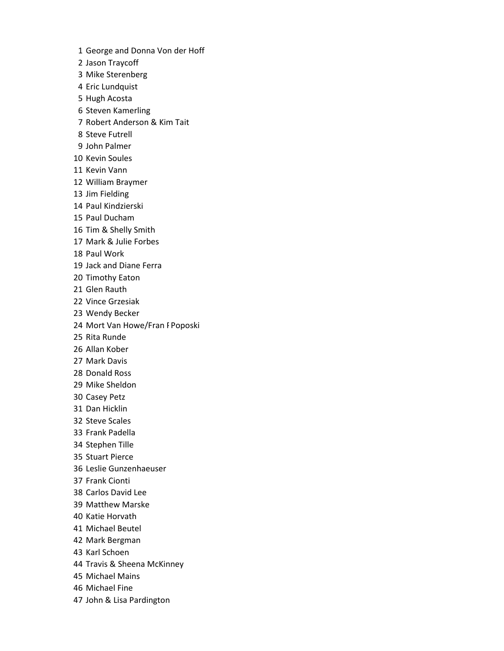George and Donna Von der Hoff

Jason Traycoff

Mike Sterenberg

Eric Lundquist

Hugh Acosta

Steven Kamerling

Robert Anderson & Kim Tait

Steve Futrell

John Palmer

Kevin Soules

Kevin Vann

William Braymer

Jim Fielding

Paul Kindzierski

Paul Ducham

Tim & Shelly Smith

Mark & Julie Forbes

Paul Work

Jack and Diane Ferra

Timothy Eaton

Glen Rauth

Vince Grzesiak

Wendy Becker

24 Mort Van Howe/Fran FPoposki

Rita Runde

Allan Kober

Mark Davis

Donald Ross

Mike Sheldon

Casey Petz

Dan Hicklin

Steve Scales

Frank Padella

Stephen Tille

Stuart Pierce

Leslie Gunzenhaeuser

Frank Cionti

Carlos David Lee

Matthew Marske

Katie Horvath

Michael Beutel

Mark Bergman

Karl Schoen

Travis & Sheena McKinney

Michael Mains

Michael Fine

John & Lisa Pardington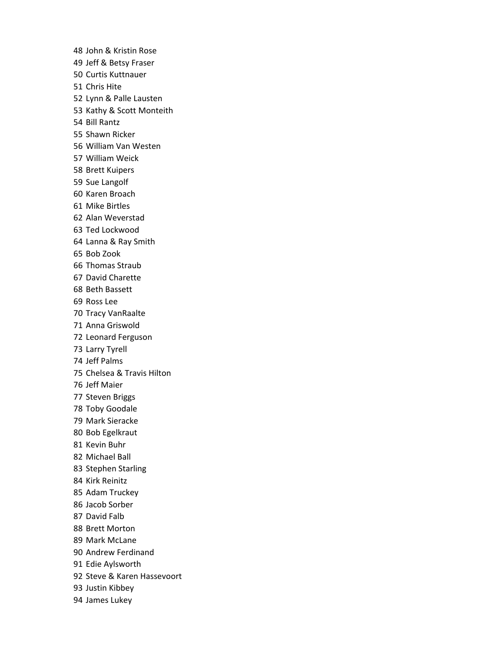John & Kristin Rose Jeff & Betsy Fraser Curtis Kuttnauer Chris Hite Lynn & Palle Lausten Kathy & Scott Monteith Bill Rantz Shawn Ricker William Van Westen William Weick Brett Kuipers Sue Langolf Karen Broach Mike Birtles Alan Weverstad Ted Lockwood Lanna & Ray Smith Bob Zook Thomas Straub David Charette Beth Bassett Ross Lee Tracy VanRaalte Anna Griswold Leonard Ferguson Larry Tyrell Jeff Palms Chelsea & Travis Hilton Jeff Maier Steven Briggs Toby Goodale Mark Sieracke Bob Egelkraut Kevin Buhr Michael Ball Stephen Starling Kirk Reinitz Adam Truckey Jacob Sorber David Falb Brett Morton Mark McLane Andrew Ferdinand Edie Aylsworth Steve & Karen Hassevoort Justin Kibbey James Lukey